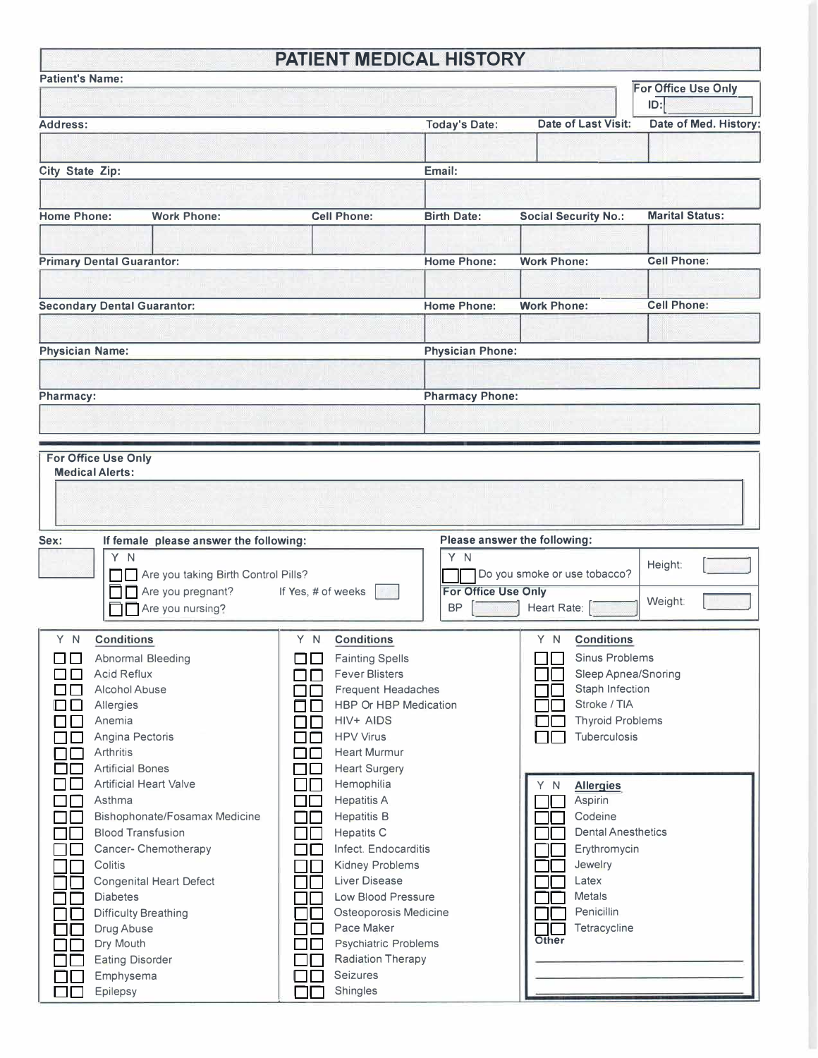## **PATIENT MEDICAL HISTORY**

**Ref** 

| <b>Patient's Name:</b>                                                                                                                                                                                                                                                                                                                                                                                                      |                                                                                                                                               |                                                                                                                                                                                                                                                                                                                                                                                                                                                                                                                        |                                                                                                                                             |                                                                                                                                                                                                                                                                                                                             | For Office Use Only<br>ID: |
|-----------------------------------------------------------------------------------------------------------------------------------------------------------------------------------------------------------------------------------------------------------------------------------------------------------------------------------------------------------------------------------------------------------------------------|-----------------------------------------------------------------------------------------------------------------------------------------------|------------------------------------------------------------------------------------------------------------------------------------------------------------------------------------------------------------------------------------------------------------------------------------------------------------------------------------------------------------------------------------------------------------------------------------------------------------------------------------------------------------------------|---------------------------------------------------------------------------------------------------------------------------------------------|-----------------------------------------------------------------------------------------------------------------------------------------------------------------------------------------------------------------------------------------------------------------------------------------------------------------------------|----------------------------|
| Address:                                                                                                                                                                                                                                                                                                                                                                                                                    |                                                                                                                                               |                                                                                                                                                                                                                                                                                                                                                                                                                                                                                                                        | <b>Today's Date:</b>                                                                                                                        | Date of Last Visit:                                                                                                                                                                                                                                                                                                         | Date of Med. History:      |
| City State Zip:                                                                                                                                                                                                                                                                                                                                                                                                             |                                                                                                                                               |                                                                                                                                                                                                                                                                                                                                                                                                                                                                                                                        | Email:                                                                                                                                      |                                                                                                                                                                                                                                                                                                                             |                            |
| <b>Home Phone:</b>                                                                                                                                                                                                                                                                                                                                                                                                          | <b>Work Phone:</b>                                                                                                                            | <b>Cell Phone:</b>                                                                                                                                                                                                                                                                                                                                                                                                                                                                                                     | <b>Birth Date:</b>                                                                                                                          | <b>Social Security No.:</b>                                                                                                                                                                                                                                                                                                 | <b>Marital Status:</b>     |
| <b>Primary Dental Guarantor:</b>                                                                                                                                                                                                                                                                                                                                                                                            |                                                                                                                                               |                                                                                                                                                                                                                                                                                                                                                                                                                                                                                                                        | <b>Home Phone:</b>                                                                                                                          | <b>Work Phone:</b>                                                                                                                                                                                                                                                                                                          | <b>Cell Phone:</b>         |
| <b>Secondary Dental Guarantor:</b>                                                                                                                                                                                                                                                                                                                                                                                          |                                                                                                                                               |                                                                                                                                                                                                                                                                                                                                                                                                                                                                                                                        | <b>Home Phone:</b>                                                                                                                          | <b>Work Phone:</b>                                                                                                                                                                                                                                                                                                          | <b>Cell Phone:</b>         |
| <b>Physician Name:</b>                                                                                                                                                                                                                                                                                                                                                                                                      |                                                                                                                                               |                                                                                                                                                                                                                                                                                                                                                                                                                                                                                                                        | <b>Physician Phone:</b>                                                                                                                     |                                                                                                                                                                                                                                                                                                                             |                            |
| Pharmacy:                                                                                                                                                                                                                                                                                                                                                                                                                   |                                                                                                                                               |                                                                                                                                                                                                                                                                                                                                                                                                                                                                                                                        | <b>Pharmacy Phone:</b>                                                                                                                      |                                                                                                                                                                                                                                                                                                                             |                            |
| Sex:<br>If female please answer the following:<br>Y N<br>Are you taking Birth Control Pills?<br>$\Box \Box$ Are you pregnant?<br>If Yes, # of weeks<br>Are you nursing?                                                                                                                                                                                                                                                     |                                                                                                                                               |                                                                                                                                                                                                                                                                                                                                                                                                                                                                                                                        | Please answer the following:<br>YN<br>Height:<br>Do you smoke or use tobacco?<br>For Office Use Only<br>Weight:<br>Heart Rate:<br><b>BP</b> |                                                                                                                                                                                                                                                                                                                             |                            |
| <b>Conditions</b><br>Y N<br>ПO<br><b>Acid Reflux</b><br>பப<br>Alcohol Abuse<br>$\Box$<br>□□<br>Allergies<br>Anemia<br>$\Box$ l<br>Angina Pectoris<br>Arthritis<br>┓<br><b>Artificial Bones</b><br>$\blacksquare$<br>□∟<br>Asthma<br>$\Box$<br>┓<br><b>Blood Transfusion</b><br>Colitis<br><b>Diabetes</b><br><b>Difficulty Breathing</b><br>Drug Abuse<br>Dry Mouth<br><b>Eating Disorder</b><br>$\mathcal{L}$<br>Emphysema | Abnormal Bleeding<br><b>Artificial Heart Valve</b><br>Bishophonate/Fosamax Medicine<br>Cancer- Chemotherapy<br><b>Congenital Heart Defect</b> | Y N<br><b>Conditions</b><br><b>Fainting Spells</b><br><b>TILL</b><br><b>Fever Blisters</b><br><b>Frequent Headaches</b><br>HBP Or HBP Medication<br>HIV+ AIDS<br><b>HPV Virus</b><br><b>Heart Murmur</b><br><b>Heart Surgery</b><br>Hemophilia<br><b>Hepatitis A</b><br><b>Hepatitis B</b><br><b>Hepatits C</b><br>Infect. Endocarditis<br>Kidney Problems<br><b>Liver Disease</b><br>Low Blood Pressure<br>Osteoporosis Medicine<br>Pace Maker<br><b>Psychiatric Problems</b><br><b>Radiation Therapy</b><br>Seizures |                                                                                                                                             | Y N<br><b>Conditions</b><br>Sinus Problems<br>Sleep Apnea/Snoring<br>Staph Infection<br>Stroke / TIA<br><b>Thyroid Problems</b><br>Tuberculosis<br><b>Allergies</b><br><sup>N</sup><br>Aspirin<br>Codeine<br><b>Dental Anesthetics</b><br>Erythromycin<br>Jewelry<br>Latex<br>Metals<br>Penicillin<br>Tetracycline<br>Other |                            |